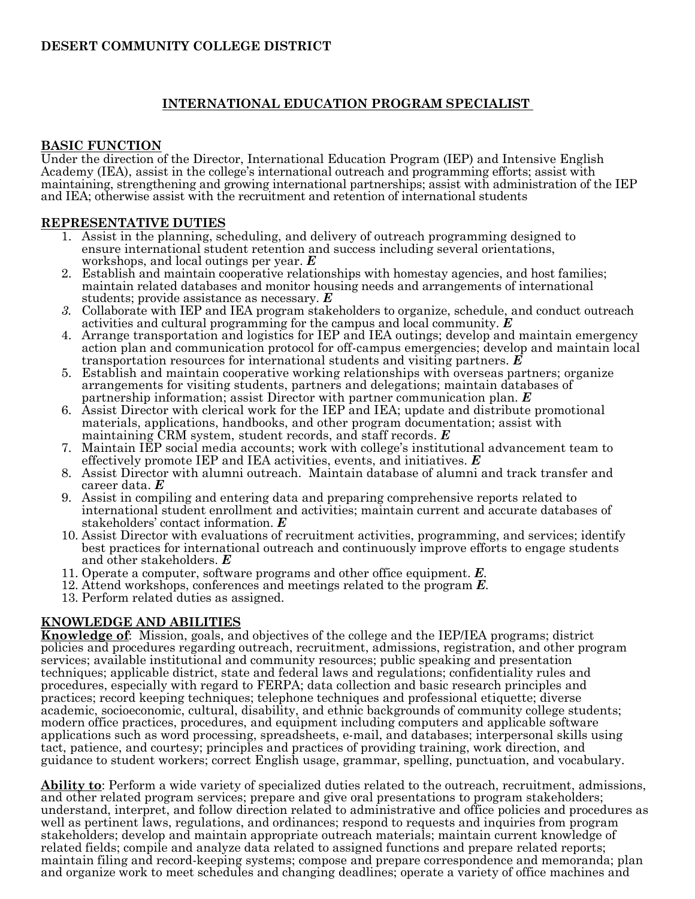# **INTERNATIONAL EDUCATION PROGRAM SPECIALIST**

# **BASIC FUNCTION**

Under the direction of the Director, International Education Program (IEP) and Intensive English Academy (IEA), assist in the college's international outreach and programming efforts; assist with maintaining, strengthening and growing international partnerships; assist with administration of the IEP and IEA; otherwise assist with the recruitment and retention of international students

## **REPRESENTATIVE DUTIES**

- 1. Assist in the planning, scheduling, and delivery of outreach programming designed to ensure international student retention and success including several orientations, workshops, and local outings per year. *E*
- 2. Establish and maintain cooperative relationships with homestay agencies, and host families; maintain related databases and monitor housing needs and arrangements of international students; provide assistance as necessary. *E*
- *3.* Collaborate with IEP and IEA program stakeholders to organize, schedule, and conduct outreach activities and cultural programming for the campus and local community. *E*
- 4. Arrange transportation and logistics for IEP and IEA outings; develop and maintain emergency action plan and communication protocol for off-campus emergencies; develop and maintain local transportation resources for international students and visiting partners. *E*
- 5. Establish and maintain cooperative working relationships with overseas partners; organize arrangements for visiting students, partners and delegations; maintain databases of partnership information; assist Director with partner communication plan. *E*
- 6. Assist Director with clerical work for the IEP and IEA; update and distribute promotional materials, applications, handbooks, and other program documentation; assist with maintaining CRM system, student records, and staff records. *E*
- 7. Maintain IEP social media accounts; work with college's institutional advancement team to effectively promote IEP and IEA activities, events, and initiatives. *E*
- 8. Assist Director with alumni outreach. Maintain database of alumni and track transfer and career data. *E*
- 9. Assist in compiling and entering data and preparing comprehensive reports related to international student enrollment and activities; maintain current and accurate databases of stakeholders' contact information. *E*
- 10. Assist Director with evaluations of recruitment activities, programming, and services; identify best practices for international outreach and continuously improve efforts to engage students and other stakeholders. *E*
- 11. Operate a computer, software programs and other office equipment. *E*.
- 12. Attend workshops, conferences and meetings related to the program *E*.
- 13. Perform related duties as assigned.

# **KNOWLEDGE AND ABILITIES**

**Knowledge of**: Mission, goals, and objectives of the college and the IEP/IEA programs; district policies and procedures regarding outreach, recruitment, admissions, registration, and other program services; available institutional and community resources; public speaking and presentation techniques; applicable district, state and federal laws and regulations; confidentiality rules and procedures, especially with regard to FERPA; data collection and basic research principles and practices; record keeping techniques; telephone techniques and professional etiquette; diverse academic, socioeconomic, cultural, disability, and ethnic backgrounds of community college students; modern office practices, procedures, and equipment including computers and applicable software applications such as word processing, spreadsheets, e-mail, and databases; interpersonal skills using tact, patience, and courtesy; principles and practices of providing training, work direction, and guidance to student workers; correct English usage, grammar, spelling, punctuation, and vocabulary.

**Ability to**: Perform a wide variety of specialized duties related to the outreach, recruitment, admissions, and other related program services; prepare and give oral presentations to program stakeholders; understand, interpret, and follow direction related to administrative and office policies and procedures as well as pertinent laws, regulations, and ordinances; respond to requests and inquiries from program stakeholders; develop and maintain appropriate outreach materials; maintain current knowledge of related fields; compile and analyze data related to assigned functions and prepare related reports; maintain filing and record-keeping systems; compose and prepare correspondence and memoranda; plan and organize work to meet schedules and changing deadlines; operate a variety of office machines and